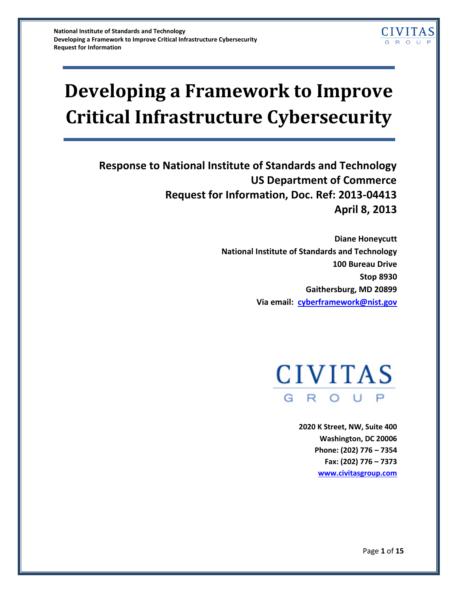# **Developing a Framework to Improve Critical Infrastructure Cybersecurity**

**Response to National Institute of Standards and Technology US Department of Commerce Request for Information, Doc. Ref: 2013-04413 April 8, 2013**

> **Diane Honeycutt National Institute of Standards and Technology 100 Bureau Drive Stop 8930 Gaithersburg, MD 20899 Via email: [cyberframework@nist.gov](mailto:cyberframework@nist.gov)**



**2020 K Street, NW, Suite 400 Washington, DC 20006 Phone: (202) 776 – 7354 Fax: (202) 776 – 7373 [www.civitasgroup.com](http://www.civitasgroup.com/)**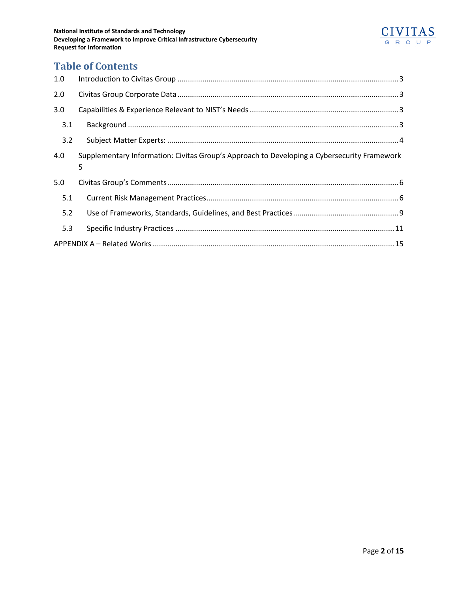

## **Table of Contents**

| 1.0 |                                                                                             |  |  |
|-----|---------------------------------------------------------------------------------------------|--|--|
| 2.0 |                                                                                             |  |  |
| 3.0 |                                                                                             |  |  |
| 3.1 |                                                                                             |  |  |
| 3.2 |                                                                                             |  |  |
| 4.0 | Supplementary Information: Civitas Group's Approach to Developing a Cybersecurity Framework |  |  |
|     | 5                                                                                           |  |  |
| 5.0 |                                                                                             |  |  |
| 5.1 |                                                                                             |  |  |
| 5.2 |                                                                                             |  |  |
| 5.3 |                                                                                             |  |  |
|     |                                                                                             |  |  |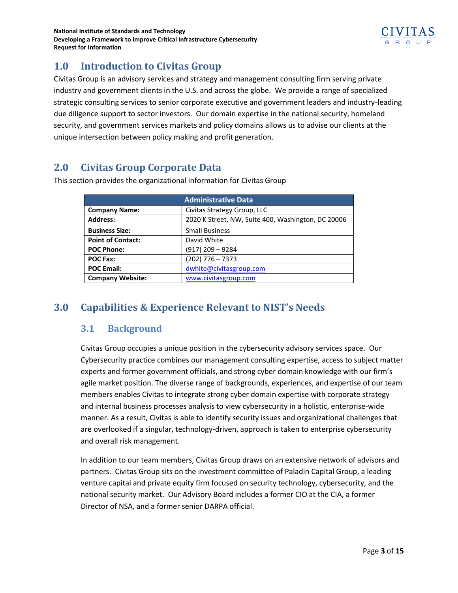

## <span id="page-2-0"></span>**1.0 Introduction to Civitas Group**

Civitas Group is an advisory services and strategy and management consulting firm serving private industry and government clients in the U.S. and across the globe. We provide a range of specialized strategic consulting services to senior corporate executive and government leaders and industry-leading due diligence support to sector investors. Our domain expertise in the national security, homeland security, and government services markets and policy domains allows us to advise our clients at the unique intersection between policy making and profit generation.

## <span id="page-2-1"></span>**2.0 Civitas Group Corporate Data**

| <b>Administrative Data</b> |                                                    |
|----------------------------|----------------------------------------------------|
| <b>Company Name:</b>       | Civitas Strategy Group, LLC                        |
| <b>Address:</b>            | 2020 K Street, NW, Suite 400, Washington, DC 20006 |
| <b>Business Size:</b>      | <b>Small Business</b>                              |
| <b>Point of Contact:</b>   | David White                                        |
| <b>POC Phone:</b>          | (917) 209 – 9284                                   |
| <b>POC Fax:</b>            | $(202)$ 776 - 7373                                 |
| <b>POC Email:</b>          | dwhite@civitasgroup.com                            |
| <b>Company Website:</b>    | www.civitasgroup.com                               |

This section provides the organizational information for Civitas Group

## <span id="page-2-3"></span><span id="page-2-2"></span>**3.0 Capabilities & Experience Relevant to NIST's Needs**

#### **3.1 Background**

Civitas Group occupies a unique position in the cybersecurity advisory services space. Our Cybersecurity practice combines our management consulting expertise, access to subject matter experts and former government officials, and strong cyber domain knowledge with our firm's agile market position. The diverse range of backgrounds, experiences, and expertise of our team members enables Civitas to integrate strong cyber domain expertise with corporate strategy and internal business processes analysis to view cybersecurity in a holistic, enterprise-wide manner. As a result, Civitas is able to identify security issues and organizational challenges that are overlooked if a singular, technology-driven, approach is taken to enterprise cybersecurity and overall risk management.

In addition to our team members, Civitas Group draws on an extensive network of advisors and partners. Civitas Group sits on the investment committee of Paladin Capital Group, a leading venture capital and private equity firm focused on security technology, cybersecurity, and the national security market. Our Advisory Board includes a former CIO at the CIA, a former Director of NSA, and a former senior DARPA official.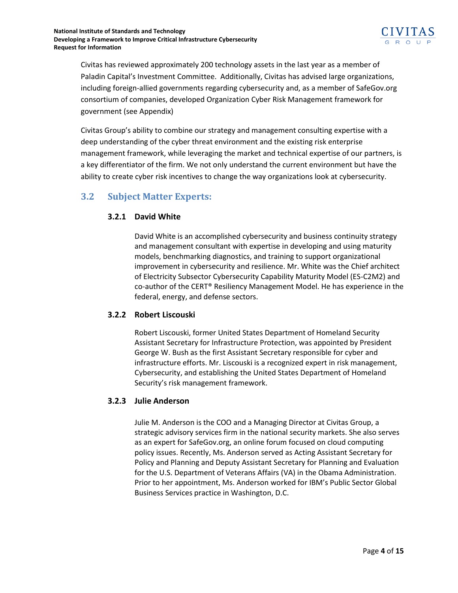

Civitas has reviewed approximately 200 technology assets in the last year as a member of Paladin Capital's Investment Committee. Additionally, Civitas has advised large organizations, including foreign-allied governments regarding cybersecurity and, as a member of SafeGov.org consortium of companies, developed Organization Cyber Risk Management framework for government (see Appendix)

Civitas Group's ability to combine our strategy and management consulting expertise with a deep understanding of the cyber threat environment and the existing risk enterprise management framework, while leveraging the market and technical expertise of our partners, is a key differentiator of the firm. We not only understand the current environment but have the ability to create cyber risk incentives to change the way organizations look at cybersecurity.

### <span id="page-3-0"></span>**3.2 Subject Matter Experts:**

#### **3.2.1 David White**

David White is an accomplished cybersecurity and business continuity strategy and management consultant with expertise in developing and using maturity models, benchmarking diagnostics, and training to support organizational improvement in cybersecurity and resilience. Mr. White was the Chief architect of Electricity Subsector Cybersecurity Capability Maturity Model (ES-C2M2) and co-author of the CERT® Resiliency Management Model. He has experience in the federal, energy, and defense sectors.

#### **3.2.2 Robert Liscouski**

Robert Liscouski, former United States Department of Homeland Security Assistant Secretary for Infrastructure Protection, was appointed by President George W. Bush as the first Assistant Secretary responsible for cyber and infrastructure efforts. Mr. Liscouski is a recognized expert in risk management, Cybersecurity, and establishing the United States Department of Homeland Security's risk management framework.

#### **3.2.3 Julie Anderson**

Julie M. Anderson is the COO and a Managing Director at Civitas Group, a strategic advisory services firm in the national security markets. She also serves as an expert for SafeGov.org, an online forum focused on cloud computing policy issues. Recently, Ms. Anderson served as Acting Assistant Secretary for Policy and Planning and Deputy Assistant Secretary for Planning and Evaluation for the U.S. Department of Veterans Affairs (VA) in the Obama Administration. Prior to her appointment, Ms. Anderson worked for IBM's Public Sector Global Business Services practice in Washington, D.C.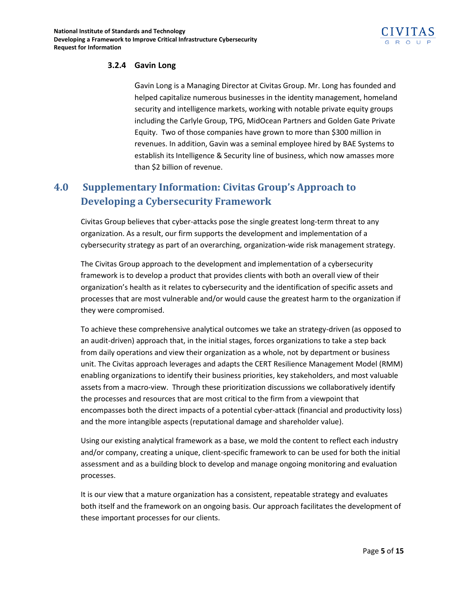

#### **3.2.4 Gavin Long**

Gavin Long is a Managing Director at Civitas Group. Mr. Long has founded and helped capitalize numerous businesses in the identity management, homeland security and intelligence markets, working with notable private equity groups including the Carlyle Group, TPG, MidOcean Partners and Golden Gate Private Equity. Two of those companies have grown to more than \$300 million in revenues. In addition, Gavin was a seminal employee hired by BAE Systems to establish its Intelligence & Security line of business, which now amasses more than \$2 billion of revenue.

# <span id="page-4-0"></span>**4.0 Supplementary Information: Civitas Group's Approach to Developing a Cybersecurity Framework**

Civitas Group believes that cyber-attacks pose the single greatest long-term threat to any organization. As a result, our firm supports the development and implementation of a cybersecurity strategy as part of an overarching, organization-wide risk management strategy.

The Civitas Group approach to the development and implementation of a cybersecurity framework is to develop a product that provides clients with both an overall view of their organization's health as it relates to cybersecurity and the identification of specific assets and processes that are most vulnerable and/or would cause the greatest harm to the organization if they were compromised.

To achieve these comprehensive analytical outcomes we take an strategy-driven (as opposed to an audit-driven) approach that, in the initial stages, forces organizations to take a step back from daily operations and view their organization as a whole, not by department or business unit. The Civitas approach leverages and adapts the CERT Resilience Management Model (RMM) enabling organizations to identify their business priorities, key stakeholders, and most valuable assets from a macro-view. Through these prioritization discussions we collaboratively identify the processes and resources that are most critical to the firm from a viewpoint that encompasses both the direct impacts of a potential cyber-attack (financial and productivity loss) and the more intangible aspects (reputational damage and shareholder value).

Using our existing analytical framework as a base, we mold the content to reflect each industry and/or company, creating a unique, client-specific framework to can be used for both the initial assessment and as a building block to develop and manage ongoing monitoring and evaluation processes.

It is our view that a mature organization has a consistent, repeatable strategy and evaluates both itself and the framework on an ongoing basis. Our approach facilitates the development of these important processes for our clients.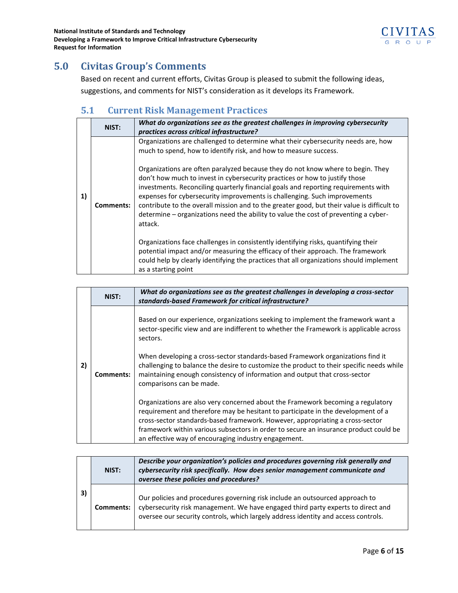

# <span id="page-5-0"></span>**5.0 Civitas Group's Comments**

Based on recent and current efforts, Civitas Group is pleased to submit the following ideas, suggestions, and comments for NIST's consideration as it develops its Framework.

# <span id="page-5-1"></span>**5.1 Current Risk Management Practices**

| 1) | NIST:            | What do organizations see as the greatest challenges in improving cybersecurity<br>practices across critical infrastructure?                                                                                                                                                                                                                                                                                                                                                                                                      |
|----|------------------|-----------------------------------------------------------------------------------------------------------------------------------------------------------------------------------------------------------------------------------------------------------------------------------------------------------------------------------------------------------------------------------------------------------------------------------------------------------------------------------------------------------------------------------|
|    |                  | Organizations are challenged to determine what their cybersecurity needs are, how<br>much to spend, how to identify risk, and how to measure success.                                                                                                                                                                                                                                                                                                                                                                             |
|    | <b>Comments:</b> | Organizations are often paralyzed because they do not know where to begin. They<br>don't how much to invest in cybersecurity practices or how to justify those<br>investments. Reconciling quarterly financial goals and reporting requirements with<br>expenses for cybersecurity improvements is challenging. Such improvements<br>contribute to the overall mission and to the greater good, but their value is difficult to<br>determine - organizations need the ability to value the cost of preventing a cyber-<br>attack. |
|    |                  | Organizations face challenges in consistently identifying risks, quantifying their<br>potential impact and/or measuring the efficacy of their approach. The framework<br>could help by clearly identifying the practices that all organizations should implement<br>as a starting point                                                                                                                                                                                                                                           |

|    | NIST:     | What do organizations see as the greatest challenges in developing a cross-sector<br>standards-based Framework for critical infrastructure?                                                                                                                                                                                                  |
|----|-----------|----------------------------------------------------------------------------------------------------------------------------------------------------------------------------------------------------------------------------------------------------------------------------------------------------------------------------------------------|
| 2) |           | Based on our experience, organizations seeking to implement the framework want a<br>sector-specific view and are indifferent to whether the Framework is applicable across<br>sectors.                                                                                                                                                       |
|    | Comments: | When developing a cross-sector standards-based Framework organizations find it<br>challenging to balance the desire to customize the product to their specific needs while<br>maintaining enough consistency of information and output that cross-sector<br>comparisons can be made.                                                         |
|    |           | Organizations are also very concerned about the Framework becoming a regulatory<br>requirement and therefore may be hesitant to participate in the development of a<br>cross-sector standards-based framework. However, appropriating a cross-sector<br>framework within various subsectors in order to secure an insurance product could be |
|    |           | an effective way of encouraging industry engagement.                                                                                                                                                                                                                                                                                         |

|    | NIST:     | Describe your organization's policies and procedures governing risk generally and<br>cybersecurity risk specifically. How does senior management communicate and<br>oversee these policies and procedures?                                             |  |
|----|-----------|--------------------------------------------------------------------------------------------------------------------------------------------------------------------------------------------------------------------------------------------------------|--|
| 3) | Comments: | Our policies and procedures governing risk include an outsourced approach to<br>cybersecurity risk management. We have engaged third party experts to direct and<br>oversee our security controls, which largely address identity and access controls. |  |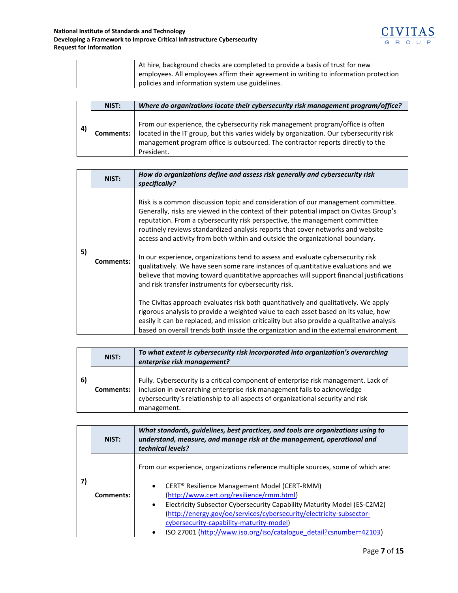

|  | At hire, background checks are completed to provide a basis of trust for new<br>employees. All employees affirm their agreement in writing to information protection |
|--|----------------------------------------------------------------------------------------------------------------------------------------------------------------------|
|  | policies and information system use guidelines.                                                                                                                      |

|    | NIST:            | Where do organizations locate their cybersecurity risk management program/office?                                                                                                                                                                                          |
|----|------------------|----------------------------------------------------------------------------------------------------------------------------------------------------------------------------------------------------------------------------------------------------------------------------|
| 4) | <b>Comments:</b> | From our experience, the cybersecurity risk management program/office is often<br>located in the IT group, but this varies widely by organization. Our cybersecurity risk<br>management program office is outsourced. The contractor reports directly to the<br>President. |

| NIST:     | How do organizations define and assess risk generally and cybersecurity risk<br>specifically?                                                                                                                                                                                                                                                                                                                                                                                                                                                                                                                                                                                                                                                                                                                                                                                                                                                                                                                                                                                                                                     |
|-----------|-----------------------------------------------------------------------------------------------------------------------------------------------------------------------------------------------------------------------------------------------------------------------------------------------------------------------------------------------------------------------------------------------------------------------------------------------------------------------------------------------------------------------------------------------------------------------------------------------------------------------------------------------------------------------------------------------------------------------------------------------------------------------------------------------------------------------------------------------------------------------------------------------------------------------------------------------------------------------------------------------------------------------------------------------------------------------------------------------------------------------------------|
| Comments: | Risk is a common discussion topic and consideration of our management committee.<br>Generally, risks are viewed in the context of their potential impact on Civitas Group's<br>reputation. From a cybersecurity risk perspective, the management committee<br>routinely reviews standardized analysis reports that cover networks and website<br>access and activity from both within and outside the organizational boundary.<br>In our experience, organizations tend to assess and evaluate cybersecurity risk<br>qualitatively. We have seen some rare instances of quantitative evaluations and we<br>believe that moving toward quantitative approaches will support financial justifications<br>and risk transfer instruments for cybersecurity risk.<br>The Civitas approach evaluates risk both quantitatively and qualitatively. We apply<br>rigorous analysis to provide a weighted value to each asset based on its value, how<br>easily it can be replaced, and mission criticality but also provide a qualitative analysis<br>based on overall trends both inside the organization and in the external environment. |
|           |                                                                                                                                                                                                                                                                                                                                                                                                                                                                                                                                                                                                                                                                                                                                                                                                                                                                                                                                                                                                                                                                                                                                   |

|    | NIST:     | To what extent is cybersecurity risk incorporated into organization's overarching<br>enterprise risk management?                                                                                                                                                  |
|----|-----------|-------------------------------------------------------------------------------------------------------------------------------------------------------------------------------------------------------------------------------------------------------------------|
| 6) | Comments: | Fully. Cybersecurity is a critical component of enterprise risk management. Lack of<br>inclusion in overarching enterprise risk management fails to acknowledge<br>cybersecurity's relationship to all aspects of organizational security and risk<br>management. |

| NIST:     | What standards, guidelines, best practices, and tools are organizations using to<br>understand, measure, and manage risk at the management, operational and<br>technical levels?                                                                                                                                                                                                                                                                                                                      |
|-----------|-------------------------------------------------------------------------------------------------------------------------------------------------------------------------------------------------------------------------------------------------------------------------------------------------------------------------------------------------------------------------------------------------------------------------------------------------------------------------------------------------------|
| Comments: | From our experience, organizations reference multiple sources, some of which are:<br>CERT <sup>®</sup> Resilience Management Model (CERT-RMM)<br>$\bullet$<br>(http://www.cert.org/resilience/rmm.html)<br>Electricity Subsector Cybersecurity Capability Maturity Model (ES-C2M2)<br>$\bullet$<br>(http://energy.gov/oe/services/cybersecurity/electricity-subsector-<br>cybersecurity-capability-maturity-model)<br>ISO 27001 (http://www.iso.org/iso/catalogue detail?csnumber=42103)<br>$\bullet$ |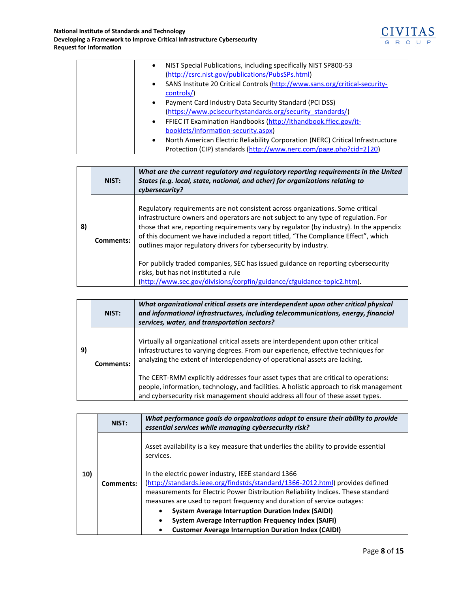

|  | NIST Special Publications, including specifically NIST SP800-53<br>$\bullet$                |
|--|---------------------------------------------------------------------------------------------|
|  | (http://csrc.nist.gov/publications/PubsSPs.html)                                            |
|  | SANS Institute 20 Critical Controls (http://www.sans.org/critical-security-<br>$\bullet$    |
|  | controls/)                                                                                  |
|  | Payment Card Industry Data Security Standard (PCI DSS)<br>$\bullet$                         |
|  | (https://www.pcisecuritystandards.org/security standards/)                                  |
|  | FFIEC IT Examination Handbooks (http://ithandbook.ffiec.gov/it-<br>$\bullet$                |
|  | booklets/information-security.aspx)                                                         |
|  | North American Electric Reliability Corporation (NERC) Critical Infrastructure<br>$\bullet$ |
|  | Protection (CIP) standards (http://www.nerc.com/page.php?cid=2 20)                          |

|    | NIST:     | What are the current regulatory and regulatory reporting requirements in the United<br>States (e.g. local, state, national, and other) for organizations relating to<br>cybersecurity?                                                                                                                                                                                                                                   |
|----|-----------|--------------------------------------------------------------------------------------------------------------------------------------------------------------------------------------------------------------------------------------------------------------------------------------------------------------------------------------------------------------------------------------------------------------------------|
| 8) | Comments: | Regulatory requirements are not consistent across organizations. Some critical<br>infrastructure owners and operators are not subject to any type of regulation. For<br>those that are, reporting requirements vary by regulator (by industry). In the appendix<br>of this document we have included a report titled, "The Compliance Effect", which<br>outlines major regulatory drivers for cybersecurity by industry. |
|    |           | For publicly traded companies, SEC has issued guidance on reporting cybersecurity<br>risks, but has not instituted a rule<br>(http://www.sec.gov/divisions/corpfin/guidance/cfguidance-topic2.htm).                                                                                                                                                                                                                      |

|    | NIST:     | What organizational critical assets are interdependent upon other critical physical<br>and informational infrastructures, including telecommunications, energy, financial<br>services, water, and transportation sectors?                                         |
|----|-----------|-------------------------------------------------------------------------------------------------------------------------------------------------------------------------------------------------------------------------------------------------------------------|
| 9) | Comments: | Virtually all organizational critical assets are interdependent upon other critical<br>infrastructures to varying degrees. From our experience, effective techniques for<br>analyzing the extent of interdependency of operational assets are lacking.            |
|    |           | The CERT-RMM explicitly addresses four asset types that are critical to operations:<br>people, information, technology, and facilities. A holistic approach to risk management<br>and cybersecurity risk management should address all four of these asset types. |

| NIST:     | What performance goals do organizations adopt to ensure their ability to provide<br>essential services while managing cybersecurity risk?                                                                                                                        |
|-----------|------------------------------------------------------------------------------------------------------------------------------------------------------------------------------------------------------------------------------------------------------------------|
| Comments: | Asset availability is a key measure that underlies the ability to provide essential<br>services.                                                                                                                                                                 |
|           | In the electric power industry, IEEE standard 1366<br>(http://standards.ieee.org/findstds/standard/1366-2012.html) provides defined<br>measurements for Electric Power Distribution Reliability Indices. These standard                                          |
|           | measures are used to report frequency and duration of service outages:<br><b>System Average Interruption Duration Index (SAIDI)</b><br><b>System Average Interruption Frequency Index (SAIFI)</b><br><b>Customer Average Interruption Duration Index (CAIDI)</b> |
|           |                                                                                                                                                                                                                                                                  |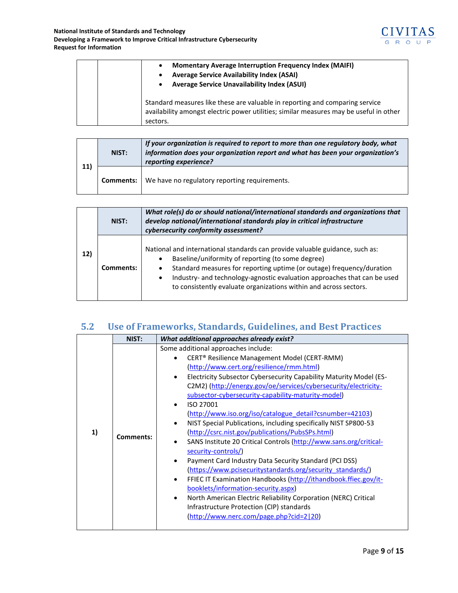

|  | <b>Momentary Average Interruption Frequency Index (MAIFI)</b><br><b>Average Service Availability Index (ASAI)</b><br>Average Service Unavailability Index (ASUI)                   |
|--|------------------------------------------------------------------------------------------------------------------------------------------------------------------------------------|
|  | Standard measures like these are valuable in reporting and comparing service<br>availability amongst electric power utilities; similar measures may be useful in other<br>sectors. |

| 11) | NIST:     | If your organization is required to report to more than one regulatory body, what<br>information does your organization report and what has been your organization's<br>reporting experience? |  |
|-----|-----------|-----------------------------------------------------------------------------------------------------------------------------------------------------------------------------------------------|--|
|     | Comments: | We have no regulatory reporting requirements.                                                                                                                                                 |  |

|     | NIST:     | What role(s) do or should national/international standards and organizations that<br>develop national/international standards play in critical infrastructure<br>cybersecurity conformity assessment?                                                                                                                                                                    |
|-----|-----------|--------------------------------------------------------------------------------------------------------------------------------------------------------------------------------------------------------------------------------------------------------------------------------------------------------------------------------------------------------------------------|
| 12) | Comments: | National and international standards can provide valuable guidance, such as:<br>Baseline/uniformity of reporting (to some degree)<br>$\bullet$<br>Standard measures for reporting uptime (or outage) frequency/duration<br>Industry- and technology-agnostic evaluation approaches that can be used<br>to consistently evaluate organizations within and across sectors. |

# <span id="page-8-0"></span>**5.2 Use of Frameworks, Standards, Guidelines, and Best Practices**

|    | NIST:     | What additional approaches already exist?                                                                                                                                                                                                                                                                                                                                                                                                                                                                                                                                                                                                                                                                                                                                                                                                                                                                                                                                                                                             |
|----|-----------|---------------------------------------------------------------------------------------------------------------------------------------------------------------------------------------------------------------------------------------------------------------------------------------------------------------------------------------------------------------------------------------------------------------------------------------------------------------------------------------------------------------------------------------------------------------------------------------------------------------------------------------------------------------------------------------------------------------------------------------------------------------------------------------------------------------------------------------------------------------------------------------------------------------------------------------------------------------------------------------------------------------------------------------|
| 1) | Comments: | Some additional approaches include:<br>CERT <sup>®</sup> Resilience Management Model (CERT-RMM)<br>(http://www.cert.org/resilience/rmm.html)<br>Electricity Subsector Cybersecurity Capability Maturity Model (ES-<br>C2M2) (http://energy.gov/oe/services/cybersecurity/electricity-<br>subsector-cybersecurity-capability-maturity-model)<br>ISO 27001<br>(http://www.iso.org/iso/catalogue detail?csnumber=42103)<br>NIST Special Publications, including specifically NIST SP800-53<br>(http://csrc.nist.gov/publications/PubsSPs.html)<br>SANS Institute 20 Critical Controls (http://www.sans.org/critical-<br>security-controls/)<br>Payment Card Industry Data Security Standard (PCI DSS)<br>(https://www.pcisecuritystandards.org/security standards/)<br>FFIEC IT Examination Handbooks (http://ithandbook.ffiec.gov/it-<br>booklets/information-security.aspx)<br>North American Electric Reliability Corporation (NERC) Critical<br>Infrastructure Protection (CIP) standards<br>(http://www.nerc.com/page.php?cid=2 20) |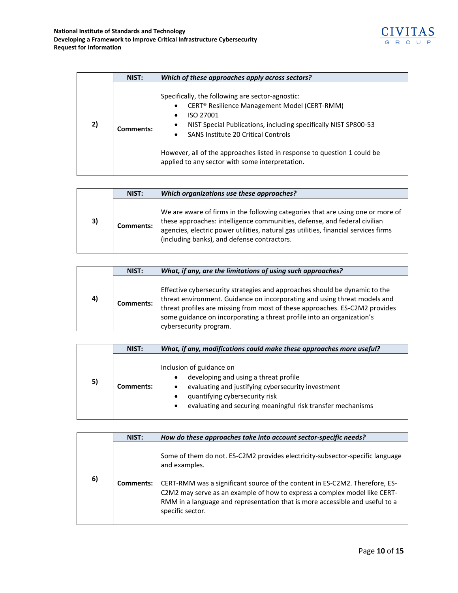

|    | NIST:     | Which of these approaches apply across sectors?                                                                                                                                                                                                                                                                                                                                        |
|----|-----------|----------------------------------------------------------------------------------------------------------------------------------------------------------------------------------------------------------------------------------------------------------------------------------------------------------------------------------------------------------------------------------------|
| 2) | Comments: | Specifically, the following are sector-agnostic:<br>CERT <sup>®</sup> Resilience Management Model (CERT-RMM)<br>ISO 27001<br>NIST Special Publications, including specifically NIST SP800-53<br>$\bullet$<br><b>SANS Institute 20 Critical Controls</b><br>However, all of the approaches listed in response to question 1 could be<br>applied to any sector with some interpretation. |

|    | NIST:     | Which organizations use these approaches?                                                                                                                                                                                                                                                          |
|----|-----------|----------------------------------------------------------------------------------------------------------------------------------------------------------------------------------------------------------------------------------------------------------------------------------------------------|
| 3) | Comments: | We are aware of firms in the following categories that are using one or more of<br>these approaches: intelligence communities, defense, and federal civilian<br>agencies, electric power utilities, natural gas utilities, financial services firms<br>(including banks), and defense contractors. |

|    | NIST:     | What, if any, are the limitations of using such approaches?                                                                                                                                                                                                                                                                                |
|----|-----------|--------------------------------------------------------------------------------------------------------------------------------------------------------------------------------------------------------------------------------------------------------------------------------------------------------------------------------------------|
| 4) | Comments: | Effective cybersecurity strategies and approaches should be dynamic to the<br>threat environment. Guidance on incorporating and using threat models and<br>threat profiles are missing from most of these approaches. ES-C2M2 provides<br>some guidance on incorporating a threat profile into an organization's<br>cybersecurity program. |

|    | NIST:     | What, if any, modifications could make these approaches more useful?                                                                                                                                                     |
|----|-----------|--------------------------------------------------------------------------------------------------------------------------------------------------------------------------------------------------------------------------|
| 5) | Comments: | Inclusion of guidance on<br>developing and using a threat profile<br>evaluating and justifying cybersecurity investment<br>quantifying cybersecurity risk<br>evaluating and securing meaningful risk transfer mechanisms |

|    | NIST:     | How do these approaches take into account sector-specific needs?                                                                                                                                                                                             |
|----|-----------|--------------------------------------------------------------------------------------------------------------------------------------------------------------------------------------------------------------------------------------------------------------|
| 6) |           | Some of them do not. ES-C2M2 provides electricity-subsector-specific language<br>and examples.                                                                                                                                                               |
|    | Comments: | CERT-RMM was a significant source of the content in ES-C2M2. Therefore, ES-<br>C2M2 may serve as an example of how to express a complex model like CERT-<br>RMM in a language and representation that is more accessible and useful to a<br>specific sector. |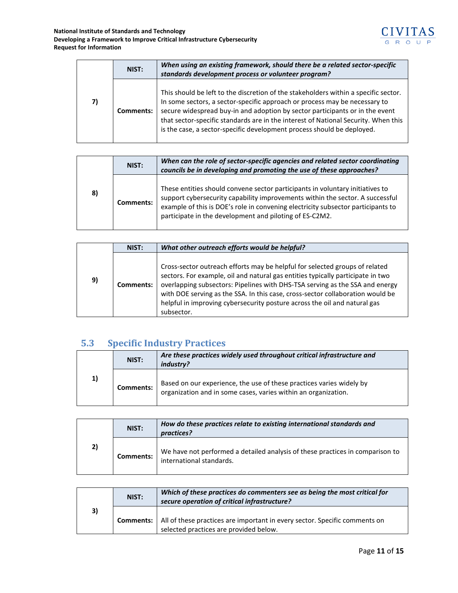|    | NIST:     | When using an existing framework, should there be a related sector-specific<br>standards development process or volunteer program?                                                                                                                                                                                                                                                                                |
|----|-----------|-------------------------------------------------------------------------------------------------------------------------------------------------------------------------------------------------------------------------------------------------------------------------------------------------------------------------------------------------------------------------------------------------------------------|
| 7) | Comments: | This should be left to the discretion of the stakeholders within a specific sector.<br>In some sectors, a sector-specific approach or process may be necessary to<br>secure widespread buy-in and adoption by sector participants or in the event<br>that sector-specific standards are in the interest of National Security. When this<br>is the case, a sector-specific development process should be deployed. |

|    | NIST:     | When can the role of sector-specific agencies and related sector coordinating<br>councils be in developing and promoting the use of these approaches?                                                                                                                                                         |
|----|-----------|---------------------------------------------------------------------------------------------------------------------------------------------------------------------------------------------------------------------------------------------------------------------------------------------------------------|
| 8) | Comments: | These entities should convene sector participants in voluntary initiatives to<br>support cybersecurity capability improvements within the sector. A successful<br>example of this is DOE's role in convening electricity subsector participants to<br>participate in the development and piloting of ES-C2M2. |

|    | NIST:     | What other outreach efforts would be helpful?                                                                                                                                                                                                                                                                                                                                                                               |  |  |
|----|-----------|-----------------------------------------------------------------------------------------------------------------------------------------------------------------------------------------------------------------------------------------------------------------------------------------------------------------------------------------------------------------------------------------------------------------------------|--|--|
| 9) | Comments: | Cross-sector outreach efforts may be helpful for selected groups of related<br>sectors. For example, oil and natural gas entities typically participate in two<br>overlapping subsectors: Pipelines with DHS-TSA serving as the SSA and energy<br>with DOE serving as the SSA. In this case, cross-sector collaboration would be<br>helpful in improving cybersecurity posture across the oil and natural gas<br>subsector. |  |  |

# <span id="page-10-0"></span>**5.3 Specific Industry Practices**

|    | NIST:     | Are these practices widely used throughout critical infrastructure and<br>industry?                                                    |
|----|-----------|----------------------------------------------------------------------------------------------------------------------------------------|
| 1) | Comments: | Based on our experience, the use of these practices varies widely by<br>organization and in some cases, varies within an organization. |

|    | NIST:            | How do these practices relate to existing international standards and<br>practices?                       |
|----|------------------|-----------------------------------------------------------------------------------------------------------|
| 2) | <b>Comments:</b> | We have not performed a detailed analysis of these practices in comparison to<br>international standards. |

|    | NIST: | Which of these practices do commenters see as being the most critical for<br>secure operation of critical infrastructure?               |
|----|-------|-----------------------------------------------------------------------------------------------------------------------------------------|
| 3) |       | <b>Comments:</b>   All of these practices are important in every sector. Specific comments on<br>selected practices are provided below. |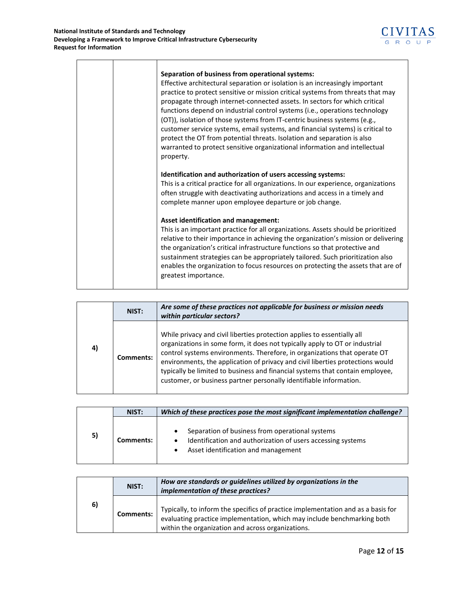| Separation of business from operational systems:<br>Effective architectural separation or isolation is an increasingly important<br>practice to protect sensitive or mission critical systems from threats that may<br>propagate through internet-connected assets. In sectors for which critical<br>functions depend on industrial control systems (i.e., operations technology<br>(OT)), isolation of those systems from IT-centric business systems (e.g.,<br>customer service systems, email systems, and financial systems) is critical to<br>protect the OT from potential threats. Isolation and separation is also<br>warranted to protect sensitive organizational information and intellectual<br>property. |
|-----------------------------------------------------------------------------------------------------------------------------------------------------------------------------------------------------------------------------------------------------------------------------------------------------------------------------------------------------------------------------------------------------------------------------------------------------------------------------------------------------------------------------------------------------------------------------------------------------------------------------------------------------------------------------------------------------------------------|
| Identification and authorization of users accessing systems:                                                                                                                                                                                                                                                                                                                                                                                                                                                                                                                                                                                                                                                          |
| This is a critical practice for all organizations. In our experience, organizations<br>often struggle with deactivating authorizations and access in a timely and<br>complete manner upon employee departure or job change.                                                                                                                                                                                                                                                                                                                                                                                                                                                                                           |
| Asset identification and management:                                                                                                                                                                                                                                                                                                                                                                                                                                                                                                                                                                                                                                                                                  |
| This is an important practice for all organizations. Assets should be prioritized<br>relative to their importance in achieving the organization's mission or delivering<br>the organization's critical infrastructure functions so that protective and<br>sustainment strategies can be appropriately tailored. Such prioritization also<br>enables the organization to focus resources on protecting the assets that are of<br>greatest importance.                                                                                                                                                                                                                                                                  |

|    | NIST:     | Are some of these practices not applicable for business or mission needs<br>within particular sectors?                                                                                                                                                                                                                                                                                                                                                                       |
|----|-----------|------------------------------------------------------------------------------------------------------------------------------------------------------------------------------------------------------------------------------------------------------------------------------------------------------------------------------------------------------------------------------------------------------------------------------------------------------------------------------|
| 4) | Comments: | While privacy and civil liberties protection applies to essentially all<br>organizations in some form, it does not typically apply to OT or industrial<br>control systems environments. Therefore, in organizations that operate OT<br>environments, the application of privacy and civil liberties protections would<br>typically be limited to business and financial systems that contain employee,<br>customer, or business partner personally identifiable information. |

|    | NIST:     | Which of these practices pose the most significant implementation challenge?                                                                          |  |  |
|----|-----------|-------------------------------------------------------------------------------------------------------------------------------------------------------|--|--|
| 5) | Comments: | Separation of business from operational systems<br>Identification and authorization of users accessing systems<br>Asset identification and management |  |  |

|    | NIST:     | How are standards or guidelines utilized by organizations in the<br>implementation of these practices?                                                                                                           |
|----|-----------|------------------------------------------------------------------------------------------------------------------------------------------------------------------------------------------------------------------|
| 6) | Comments: | Typically, to inform the specifics of practice implementation and as a basis for<br>evaluating practice implementation, which may include benchmarking both<br>within the organization and across organizations. |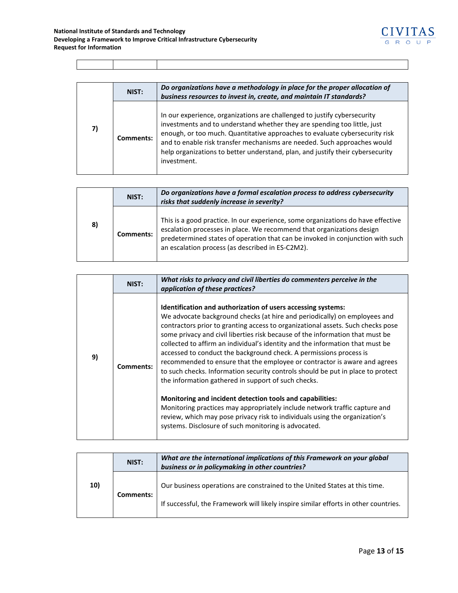

|    | NIST:     | Do organizations have a methodology in place for the proper allocation of<br>business resources to invest in, create, and maintain IT standards?                                                                                                                                                                                                                                                                 |
|----|-----------|------------------------------------------------------------------------------------------------------------------------------------------------------------------------------------------------------------------------------------------------------------------------------------------------------------------------------------------------------------------------------------------------------------------|
| 7) | Comments: | In our experience, organizations are challenged to justify cybersecurity<br>investments and to understand whether they are spending too little, just<br>enough, or too much. Quantitative approaches to evaluate cybersecurity risk<br>and to enable risk transfer mechanisms are needed. Such approaches would<br>help organizations to better understand, plan, and justify their cybersecurity<br>investment. |

|    | NIST:     | Do organizations have a formal escalation process to address cybersecurity<br>risks that suddenly increase in severity?                                                                                                                                                                         |
|----|-----------|-------------------------------------------------------------------------------------------------------------------------------------------------------------------------------------------------------------------------------------------------------------------------------------------------|
| 8) | Comments: | This is a good practice. In our experience, some organizations do have effective<br>escalation processes in place. We recommend that organizations design<br>predetermined states of operation that can be invoked in conjunction with such<br>an escalation process (as described in ES-C2M2). |

| NIST:<br>application of these practices?                                                                                                                                                                                                                                                                                                                                                                                                                                                                                                                                                                                                                                                                                                                                                                                                                                                                                                                                                         |  |
|--------------------------------------------------------------------------------------------------------------------------------------------------------------------------------------------------------------------------------------------------------------------------------------------------------------------------------------------------------------------------------------------------------------------------------------------------------------------------------------------------------------------------------------------------------------------------------------------------------------------------------------------------------------------------------------------------------------------------------------------------------------------------------------------------------------------------------------------------------------------------------------------------------------------------------------------------------------------------------------------------|--|
| Identification and authorization of users accessing systems:<br>We advocate background checks (at hire and periodically) on employees and<br>contractors prior to granting access to organizational assets. Such checks pose<br>some privacy and civil liberties risk because of the information that must be<br>collected to affirm an individual's identity and the information that must be<br>accessed to conduct the background check. A permissions process is<br>9)<br>recommended to ensure that the employee or contractor is aware and agrees<br>Comments:<br>to such checks. Information security controls should be put in place to protect<br>the information gathered in support of such checks.<br>Monitoring and incident detection tools and capabilities:<br>Monitoring practices may appropriately include network traffic capture and<br>review, which may pose privacy risk to individuals using the organization's<br>systems. Disclosure of such monitoring is advocated. |  |

| 10) | NIST:     | What are the international implications of this Framework on your global<br>business or in policymaking in other countries? |
|-----|-----------|-----------------------------------------------------------------------------------------------------------------------------|
|     | Comments: | Our business operations are constrained to the United States at this time.                                                  |
|     |           | If successful, the Framework will likely inspire similar efforts in other countries.                                        |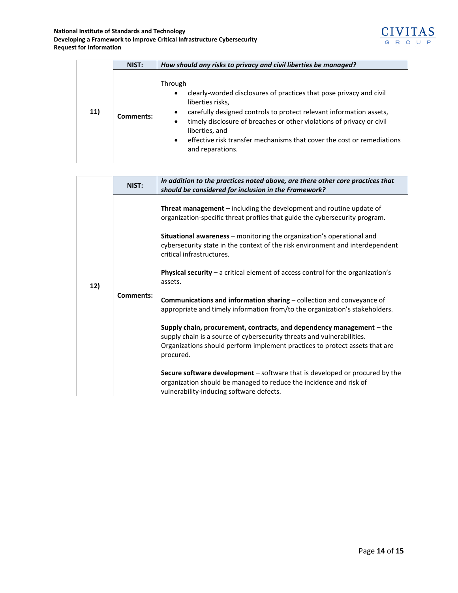

|     | NIST:     | How should any risks to privacy and civil liberties be managed?                                                                                                                                                                                                                                                                                                                                |
|-----|-----------|------------------------------------------------------------------------------------------------------------------------------------------------------------------------------------------------------------------------------------------------------------------------------------------------------------------------------------------------------------------------------------------------|
| 11) | Comments: | Through<br>clearly-worded disclosures of practices that pose privacy and civil<br>٠<br>liberties risks,<br>carefully designed controls to protect relevant information assets,<br>$\bullet$<br>timely disclosure of breaches or other violations of privacy or civil<br>٠<br>liberties, and<br>effective risk transfer mechanisms that cover the cost or remediations<br>٠<br>and reparations. |

| 12) | NIST:     | In addition to the practices noted above, are there other core practices that<br>should be considered for inclusion in the Framework?                                                                                                                                                                                                                                                                                                                                                                                                                                                                                                                                                                                                                                                                                                                                                                                                                                                                                        |
|-----|-----------|------------------------------------------------------------------------------------------------------------------------------------------------------------------------------------------------------------------------------------------------------------------------------------------------------------------------------------------------------------------------------------------------------------------------------------------------------------------------------------------------------------------------------------------------------------------------------------------------------------------------------------------------------------------------------------------------------------------------------------------------------------------------------------------------------------------------------------------------------------------------------------------------------------------------------------------------------------------------------------------------------------------------------|
|     | Comments: | <b>Threat management</b> $-$ including the development and routine update of<br>organization-specific threat profiles that guide the cybersecurity program.<br><b>Situational awareness</b> – monitoring the organization's operational and<br>cybersecurity state in the context of the risk environment and interdependent<br>critical infrastructures.<br><b>Physical security</b> $-$ a critical element of access control for the organization's<br>assets.<br>Communications and information sharing - collection and conveyance of<br>appropriate and timely information from/to the organization's stakeholders.<br>Supply chain, procurement, contracts, and dependency management - the<br>supply chain is a source of cybersecurity threats and vulnerabilities.<br>Organizations should perform implement practices to protect assets that are<br>procured.<br>Secure software development - software that is developed or procured by the<br>organization should be managed to reduce the incidence and risk of |
|     |           | vulnerability-inducing software defects.                                                                                                                                                                                                                                                                                                                                                                                                                                                                                                                                                                                                                                                                                                                                                                                                                                                                                                                                                                                     |